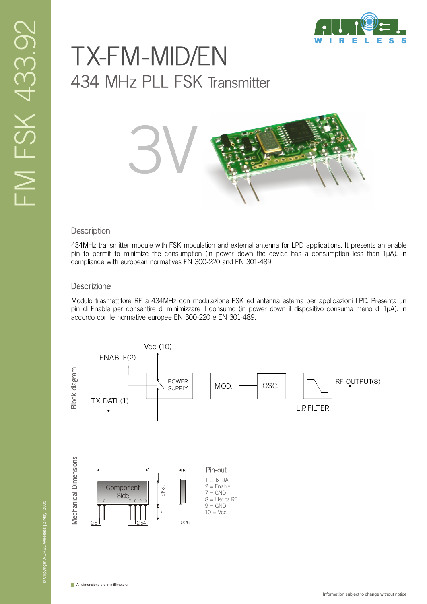# TX-FM-MID/EN 434 MHz PLL FSK Transmitter



#### **Description**

434MHz transmitter module with FSK modulation and external antenna for LPD applications. It presents an enable pin to permit to minimize the consumption (in power down the device has a consumption less than 1µA). In compliance with european normatives EN 300-220 and EN 301-489.

#### **Descrizione**

Modulo trasmettitore RF a 434MHz con modulazione FSK ed antenna esterna per applicazioni LPD. Presenta un pin di Enable per consentire di minimizzare il consumo (in power down il dispositivo consuma meno di 1µA). In accordo con le normative europee EN 300-220 e EN 301-489.